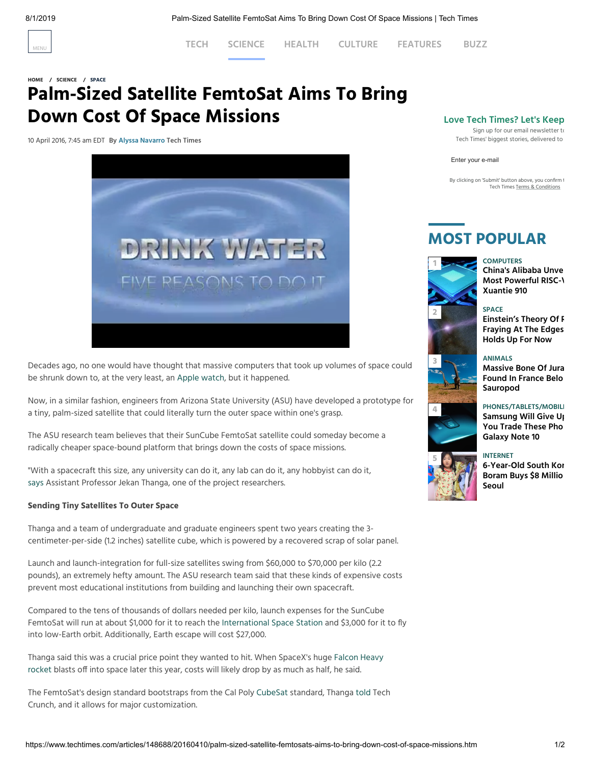

[MENU](javascript:;) **[TECH](https://www.techtimes.com/personaltech) [SCIENCE](https://www.techtimes.com/science) [HEALTH](https://www.techtimes.com/health) [CULTURE](https://www.techtimes.com/t-lounge) [FEATURES](https://www.techtimes.com/feature) [BUZZ](https://www.techtimes.com/techbuzz)**

### **[HOME](https://www.techtimes.com/) / [SCIENCE](https://www.techtimes.com/science) / [SPACE](https://www.techtimes.com/space)**

# **Palm-Sized Satellite FemtoSat Aims To Bring Down Cost Of Space Missions**

10 April 2016, 7:45 am EDT **By Alyssa [Navarro](https://www.techtimes.com/reporters/alyssa-navarro) Tech Times**



Decades ago, no one would have thought that massive computers that took up volumes of space could be shrunk down to, at the very least, an Apple [watch](http://www.techtimes.com/articles/148206/20160407/apple-starts-selling-standalone-apple-watch-herm%C3%A8s-bands-later-this-month-new-colors-349-starting-price.htm), but it happened.

Now, in a similar fashion, engineers from Arizona State University (ASU) have developed a prototype for a tiny, palm-sized satellite that could literally turn the outer space within one's grasp.

The ASU research team believes that their SunCube FemtoSat satellite could someday become a radically cheaper space-bound platform that brings down the costs of space missions.

"With a spacecraft this size, any university can do it, any lab can do it, any hobbyist can do it, [says](https://asunow.asu.edu/20160406-creativity-asu-suncube-femtosat-space-exploration-for-everyone) Assistant Professor Jekan Thanga, one of the project researchers.

#### **Sending Tiny Satellites To Outer Space**

Thanga and a team of undergraduate and graduate engineers spent two years creating the 3 centimeter-per-side (1.2 inches) satellite cube, which is powered by a recovered scrap of solar panel.

Launch and launch-integration for full-size satellites swing from \$60,000 to \$70,000 per kilo (2.2 pounds), an extremely hefty amount. The ASU research team said that these kinds of expensive costs prevent most educational institutions from building and launching their own spacecraft.

Compared to the tens of thousands of dollars needed per kilo, launch expenses for the SunCube FemtoSat will run at about \$1,000 for it to reach the [International](http://www.techtimes.com/tags/international-space-station) Space Station and \$3,000 for it to fly into low-Earth orbit. Additionally, Earth escape will cost \$27,000.

Thanga said this was a crucial price point they wanted to hit. When [SpaceX's](http://www.techtimes.com/articles/83501/20150912/space-xs-huge-falcon-heavy-rocket-finally-launch-date.htm) huge Falcon Heavy rocket blasts off into space later this year, costs will likely drop by as much as half, he said.

The FemtoSat's design standard bootstraps from the Cal Poly [CubeSat](http://www.techtimes.com/articles/60220/20150613/nasa-will-deploy-cubesats-in-next-mars-mission-what-will-the-little-satellites-explore.htm) standard, Thanga [told](http://techcrunch.com/2016/04/07/student-designed-femtosats-aim-to-bring-cost-of-satellite-deployment-below-1000/) Tech Crunch, and it allows for major customization.

### **Love Tech Times? Let's Keep**

Sign up for our email newsletter to Tech Times' biggest stories, delivered to

Enter your e-mail

By clicking on 'Submit' button above, you confirm to Tech Times Terms & [Conditions](http://www.techtimes.com/termsofservice)

## **MOST POPULAR**

#### **COMPUTERS**



**China's Alibaba Unve Most [Powerful](https://www.techtimes.com/articles/244794/20190729/chinas-alibaba-unveils-worlds-most-powerful-risc-v-processor-xuantie-910.htm) RISC-V Xuantie 910**

#### **SPACE**

**Einstein's Theory Of R [Fraying At](https://www.techtimes.com/articles/244789/20190729/einstein-s-theory-of-relativity-is-fraying-at-the-edges-but-it-still-holds-up-for-now.htm) The Edges Holds Up For Now**



**[4](https://www.techtimes.com/articles/244755/20190727/samsung-will-give-up-to-600-if-you-trade-these-phones-for-a-galaxy-note-10.htm)**

**ANIMALS Massive Bone Of Jura Found In France Belo [Sauropod](https://www.techtimes.com/articles/244776/20190727/massive-bone-of-jurassic-dinosaur-in-france-belongs-to-40-ton-sauropod.htm)**

## **PHONES/TABLETS/MOBILE**

**[Samsung Will](https://www.techtimes.com/articles/244755/20190727/samsung-will-give-up-to-600-if-you-trade-these-phones-for-a-galaxy-note-10.htm) Give Up You Trade These Pho Galaxy Note 10**



**INTERNET [6-Year-Old](https://www.techtimes.com/articles/244761/20190726/6-year-old-south-korean-youtuber-boram-buys-8-million-property-in-seoul.htm) South Kor Boram Buys \$8 Millio Seoul**